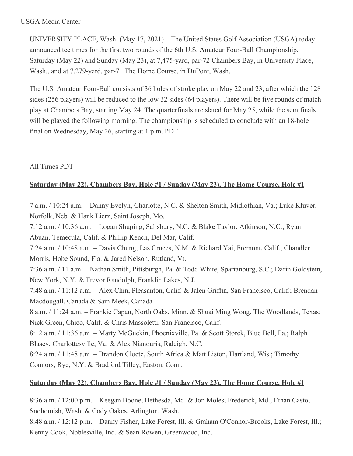#### USGA Media Center

UNIVERSITY PLACE, Wash. (May 17, 2021) – The United States Golf Association (USGA) today announced tee times for the first two rounds of the 6th U.S. Amateur Four-Ball Championship, Saturday (May 22) and Sunday (May 23), at 7,475-yard, par-72 Chambers Bay, in University Place, Wash., and at 7,279-yard, par-71 The Home Course, in DuPont, Wash.

The U.S. Amateur Four-Ball consists of 36 holes of stroke play on May 22 and 23, after which the 128 sides (256 players) will be reduced to the low 32 sides (64 players). There will be five rounds of match play at Chambers Bay, starting May 24. The quarterfinals are slated for May 25, while the semifinals will be played the following morning. The championship is scheduled to conclude with an 18-hole final on Wednesday, May 26, starting at 1 p.m. PDT.

### All Times PDT

### **Saturday (May 22), Chambers Bay, Hole #1 / Sunday (May 23), The Home Course, Hole #1**

7 a.m. / 10:24 a.m. – Danny Evelyn, Charlotte, N.C. & Shelton Smith, Midlothian, Va.; Luke Kluver, Norfolk, Neb. & Hank Lierz, Saint Joseph, Mo.

7:12 a.m. / 10:36 a.m. – Logan Shuping, Salisbury, N.C. & Blake Taylor, Atkinson, N.C.; Ryan Abuan, Temecula, Calif. & Phillip Kench, Del Mar, Calif. 7:24 a.m. / 10:48 a.m. – Davis Chung, Las Cruces, N.M. & Richard Yai, Fremont, Calif.; Chandler Morris, Hobe Sound, Fla. & Jared Nelson, Rutland, Vt. 7:36 a.m. / 11 a.m. – Nathan Smith, Pittsburgh, Pa. & Todd White, Spartanburg, S.C.; Darin Goldstein, New York, N.Y. & Trevor Randolph, Franklin Lakes, N.J. 7:48 a.m. / 11:12 a.m. – Alex Chin, Pleasanton, Calif. & Jalen Griffin, San Francisco, Calif.; Brendan Macdougall, Canada & Sam Meek, Canada 8 a.m. / 11:24 a.m. – Frankie Capan, North Oaks, Minn. & Shuai Ming Wong, The Woodlands, Texas; Nick Green, Chico, Calif. & Chris Massoletti, San Francisco, Calif. 8:12 a.m. / 11:36 a.m. – Marty McGuckin, Phoenixville, Pa. & Scott Storck, Blue Bell, Pa.; Ralph Blasey, Charlottesville, Va. & Alex Nianouris, Raleigh, N.C. 8:24 a.m. / 11:48 a.m. – Brandon Cloete, South Africa & Matt Liston, Hartland, Wis.; Timothy Connors, Rye, N.Y. & Bradford Tilley, Easton, Conn.

# **Saturday (May 22), Chambers Bay, Hole #1 / Sunday (May 23), The Home Course, Hole #1**

8:36 a.m. / 12:00 p.m. – Keegan Boone, Bethesda, Md. & Jon Moles, Frederick, Md.; Ethan Casto, Snohomish, Wash. & Cody Oakes, Arlington, Wash.

8:48 a.m. / 12:12 p.m. – Danny Fisher, Lake Forest, Ill. & Graham O'Connor-Brooks, Lake Forest, Ill.; Kenny Cook, Noblesville, Ind. & Sean Rowen, Greenwood, Ind.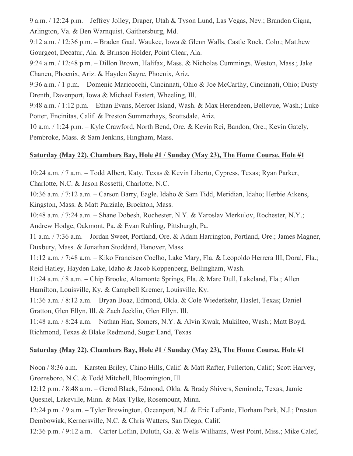9 a.m. / 12:24 p.m. – Jeffrey Jolley, Draper, Utah & Tyson Lund, Las Vegas, Nev.; Brandon Cigna, Arlington, Va. & Ben Warnquist, Gaithersburg, Md.

9:12 a.m. / 12:36 p.m. – Braden Gaal, Waukee, Iowa & Glenn Walls, Castle Rock, Colo.; Matthew Gourgeot, Decatur, Ala. & Brinson Holder, Point Clear, Ala.

9:24 a.m. / 12:48 p.m. – Dillon Brown, Halifax, Mass. & Nicholas Cummings, Weston, Mass.; Jake Chanen, Phoenix, Ariz. & Hayden Sayre, Phoenix, Ariz.

9:36 a.m. / 1 p.m. – Domenic Maricocchi, Cincinnati, Ohio & Joe McCarthy, Cincinnati, Ohio; Dusty Drenth, Davenport, Iowa & Michael Fastert, Wheeling, Ill.

9:48 a.m. / 1:12 p.m. – Ethan Evans, Mercer Island, Wash. & Max Herendeen, Bellevue, Wash.; Luke Potter, Encinitas, Calif. & Preston Summerhays, Scottsdale, Ariz.

10 a.m. / 1:24 p.m. – Kyle Crawford, North Bend, Ore. & Kevin Rei, Bandon, Ore.; Kevin Gately, Pembroke, Mass. & Sam Jenkins, Hingham, Mass.

### **Saturday (May 22), Chambers Bay, Hole #1 / Sunday (May 23), The Home Course, Hole #1**

10:24 a.m. / 7 a.m. – Todd Albert, Katy, Texas & Kevin Liberto, Cypress, Texas; Ryan Parker, Charlotte, N.C. & Jason Rossetti, Charlotte, N.C.

10:36 a.m. / 7:12 a.m. – Carson Barry, Eagle, Idaho & Sam Tidd, Meridian, Idaho; Herbie Aikens, Kingston, Mass. & Matt Parziale, Brockton, Mass.

10:48 a.m. / 7:24 a.m. – Shane Dobesh, Rochester, N.Y. & Yaroslav Merkulov, Rochester, N.Y.; Andrew Hodge, Oakmont, Pa. & Evan Ruhling, Pittsburgh, Pa.

11 a.m. / 7:36 a.m. – Jordan Sweet, Portland, Ore. & Adam Harrington, Portland, Ore.; James Magner, Duxbury, Mass. & Jonathan Stoddard, Hanover, Mass.

11:12 a.m. / 7:48 a.m. – Kiko Francisco Coelho, Lake Mary, Fla. & Leopoldo Herrera III, Doral, Fla.; Reid Hatley, Hayden Lake, Idaho & Jacob Koppenberg, Bellingham, Wash.

11:24 a.m. / 8 a.m. – Chip Brooke, Altamonte Springs, Fla. & Marc Dull, Lakeland, Fla.; Allen Hamilton, Louisville, Ky. & Campbell Kremer, Louisville, Ky.

11:36 a.m. / 8:12 a.m. – Bryan Boaz, Edmond, Okla. & Cole Wiederkehr, Haslet, Texas; Daniel Gratton, Glen Ellyn, Ill. & Zach Jecklin, Glen Ellyn, Ill.

11:48 a.m. / 8:24 a.m. – Nathan Han, Somers, N.Y. & Alvin Kwak, Mukilteo, Wash.; Matt Boyd, Richmond, Texas & Blake Redmond, Sugar Land, Texas

#### **Saturday (May 22), Chambers Bay, Hole #1 / Sunday (May 23), The Home Course, Hole #1**

Noon / 8:36 a.m. – Karsten Briley, Chino Hills, Calif. & Matt Rafter, Fullerton, Calif.; Scott Harvey, Greensboro, N.C. & Todd Mitchell, Bloomington, Ill.

12:12 p.m. / 8:48 a.m. – Gerod Black, Edmond, Okla. & Brady Shivers, Seminole, Texas; Jamie Quesnel, Lakeville, Minn. & Max Tylke, Rosemount, Minn.

12:24 p.m. / 9 a.m. – Tyler Brewington, Oceanport, N.J. & Eric LeFante, Florham Park, N.J.; Preston Dembowiak, Kernersville, N.C. & Chris Watters, San Diego, Calif.

12:36 p.m. / 9:12 a.m. – Carter Loflin, Duluth, Ga. & Wells Williams, West Point, Miss.; Mike Calef,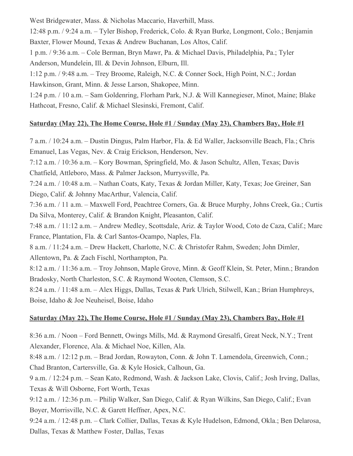West Bridgewater, Mass. & Nicholas Maccario, Haverhill, Mass. 12:48 p.m. / 9:24 a.m. – Tyler Bishop, Frederick, Colo. & Ryan Burke, Longmont, Colo.; Benjamin Baxter, Flower Mound, Texas & Andrew Buchanan, Los Altos, Calif. 1 p.m. / 9:36 a.m. – Cole Berman, Bryn Mawr, Pa. & Michael Davis, Philadelphia, Pa.; Tyler Anderson, Mundelein, Ill. & Devin Johnson, Elburn, Ill. 1:12 p.m. / 9:48 a.m. – Trey Broome, Raleigh, N.C. & Conner Sock, High Point, N.C.; Jordan Hawkinson, Grant, Minn. & Jesse Larson, Shakopee, Minn. 1:24 p.m. / 10 a.m. – Sam Goldenring, Florham Park, N.J. & Will Kannegieser, Minot, Maine; Blake Hathcoat, Fresno, Calif. & Michael Slesinski, Fremont, Calif.

#### **Saturday (May 22), The Home Course, Hole #1 / Sunday (May 23), Chambers Bay, Hole #1**

7 a.m. / 10:24 a.m. – Dustin Dingus, Palm Harbor, Fla. & Ed Waller, Jacksonville Beach, Fla.; Chris Emanuel, Las Vegas, Nev. & Craig Erickson, Henderson, Nev. 7:12 a.m. / 10:36 a.m. – Kory Bowman, Springfield, Mo. & Jason Schultz, Allen, Texas; Davis Chatfield, Attleboro, Mass. & Palmer Jackson, Murrysville, Pa. 7:24 a.m. / 10:48 a.m. – Nathan Coats, Katy, Texas & Jordan Miller, Katy, Texas; Joe Greiner, San Diego, Calif. & Johnny MacArthur, Valencia, Calif. 7:36 a.m. / 11 a.m. – Maxwell Ford, Peachtree Corners, Ga. & Bruce Murphy, Johns Creek, Ga.; Curtis Da Silva, Monterey, Calif. & Brandon Knight, Pleasanton, Calif. 7:48 a.m. / 11:12 a.m. – Andrew Medley, Scottsdale, Ariz. & Taylor Wood, Coto de Caza, Calif.; Marc France, Plantation, Fla. & Carl Santos-Ocampo, Naples, Fla. 8 a.m. / 11:24 a.m. – Drew Hackett, Charlotte, N.C. & Christofer Rahm, Sweden; John Dimler, Allentown, Pa. & Zach Fischl, Northampton, Pa. 8:12 a.m. / 11:36 a.m. – Troy Johnson, Maple Grove, Minn. & Geoff Klein, St. Peter, Minn.; Brandon Bradosky, North Charleston, S.C. & Raymond Wooten, Clemson, S.C. 8:24 a.m. / 11:48 a.m. – Alex Higgs, Dallas, Texas & Park Ulrich, Stilwell, Kan.; Brian Humphreys, Boise, Idaho & Joe Neuheisel, Boise, Idaho

#### **Saturday (May 22), The Home Course, Hole #1 / Sunday (May 23), Chambers Bay, Hole #1**

8:36 a.m. / Noon – Ford Bennett, Owings Mills, Md. & Raymond Gresalfi, Great Neck, N.Y.; Trent Alexander, Florence, Ala. & Michael Noe, Killen, Ala.

8:48 a.m. / 12:12 p.m. – Brad Jordan, Rowayton, Conn. & John T. Lamendola, Greenwich, Conn.; Chad Branton, Cartersville, Ga. & Kyle Hosick, Calhoun, Ga.

9 a.m. / 12:24 p.m. – Sean Kato, Redmond, Wash. & Jackson Lake, Clovis, Calif.; Josh Irving, Dallas, Texas & Will Osborne, Fort Worth, Texas

9:12 a.m. / 12:36 p.m. – Philip Walker, San Diego, Calif. & Ryan Wilkins, San Diego, Calif.; Evan Boyer, Morrisville, N.C. & Garett Heffner, Apex, N.C.

9:24 a.m. / 12:48 p.m. – Clark Collier, Dallas, Texas & Kyle Hudelson, Edmond, Okla.; Ben Delarosa, Dallas, Texas & Matthew Foster, Dallas, Texas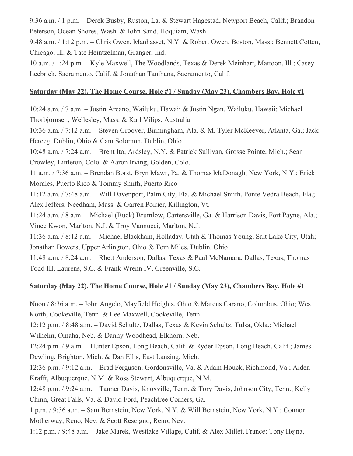9:36 a.m. / 1 p.m. – Derek Busby, Ruston, La. & Stewart Hagestad, Newport Beach, Calif.; Brandon Peterson, Ocean Shores, Wash. & John Sand, Hoquiam, Wash.

9:48 a.m. / 1:12 p.m. – Chris Owen, Manhasset, N.Y. & Robert Owen, Boston, Mass.; Bennett Cotten, Chicago, Ill. & Tate Heintzelman, Granger, Ind.

10 a.m. / 1:24 p.m. – Kyle Maxwell, The Woodlands, Texas & Derek Meinhart, Mattoon, Ill.; Casey Leebrick, Sacramento, Calif. & Jonathan Tanihana, Sacramento, Calif.

# **Saturday (May 22), The Home Course, Hole #1 / Sunday (May 23), Chambers Bay, Hole #1**

10:24 a.m. / 7 a.m. – Justin Arcano, Wailuku, Hawaii & Justin Ngan, Wailuku, Hawaii; Michael Thorbjornsen, Wellesley, Mass. & Karl Vilips, Australia 10:36 a.m. / 7:12 a.m. – Steven Groover, Birmingham, Ala. & M. Tyler McKeever, Atlanta, Ga.; Jack Herceg, Dublin, Ohio & Cam Solomon, Dublin, Ohio 10:48 a.m. / 7:24 a.m. – Brent Ito, Ardsley, N.Y. & Patrick Sullivan, Grosse Pointe, Mich.; Sean Crowley, Littleton, Colo. & Aaron Irving, Golden, Colo. 11 a.m. / 7:36 a.m. – Brendan Borst, Bryn Mawr, Pa. & Thomas McDonagh, New York, N.Y.; Erick Morales, Puerto Rico & Tommy Smith, Puerto Rico 11:12 a.m. / 7:48 a.m. – Will Davenport, Palm City, Fla. & Michael Smith, Ponte Vedra Beach, Fla.; Alex Jeffers, Needham, Mass. & Garren Poirier, Killington, Vt. 11:24 a.m. / 8 a.m. – Michael (Buck) Brumlow, Cartersville, Ga. & Harrison Davis, Fort Payne, Ala.; Vince Kwon, Marlton, N.J. & Troy Vannucci, Marlton, N.J. 11:36 a.m. / 8:12 a.m. – Michael Blackham, Holladay, Utah & Thomas Young, Salt Lake City, Utah; Jonathan Bowers, Upper Arlington, Ohio & Tom Miles, Dublin, Ohio 11:48 a.m. / 8:24 a.m. – Rhett Anderson, Dallas, Texas & Paul McNamara, Dallas, Texas; Thomas Todd III, Laurens, S.C. & Frank Wrenn IV, Greenville, S.C.

# **Saturday (May 22), The Home Course, Hole #1 / Sunday (May 23), Chambers Bay, Hole #1**

Noon / 8:36 a.m. – John Angelo, Mayfield Heights, Ohio & Marcus Carano, Columbus, Ohio; Wes Korth, Cookeville, Tenn. & Lee Maxwell, Cookeville, Tenn.

12:12 p.m. / 8:48 a.m. – David Schultz, Dallas, Texas & Kevin Schultz, Tulsa, Okla.; Michael Wilhelm, Omaha, Neb. & Danny Woodhead, Elkhorn, Neb.

12:24 p.m. / 9 a.m. – Hunter Epson, Long Beach, Calif. & Ryder Epson, Long Beach, Calif.; James Dewling, Brighton, Mich. & Dan Ellis, East Lansing, Mich.

12:36 p.m. / 9:12 a.m. – Brad Ferguson, Gordonsville, Va. & Adam Houck, Richmond, Va.; Aiden Krafft, Albuquerque, N.M. & Ross Stewart, Albuquerque, N.M.

12:48 p.m. / 9:24 a.m. – Tanner Davis, Knoxville, Tenn. & Tory Davis, Johnson City, Tenn.; Kelly Chinn, Great Falls, Va. & David Ford, Peachtree Corners, Ga.

1 p.m. / 9:36 a.m. – Sam Bernstein, New York, N.Y. & Will Bernstein, New York, N.Y.; Connor Motherway, Reno, Nev. & Scott Rescigno, Reno, Nev.

1:12 p.m. / 9:48 a.m. – Jake Marek, Westlake Village, Calif. & Alex Millet, France; Tony Hejna,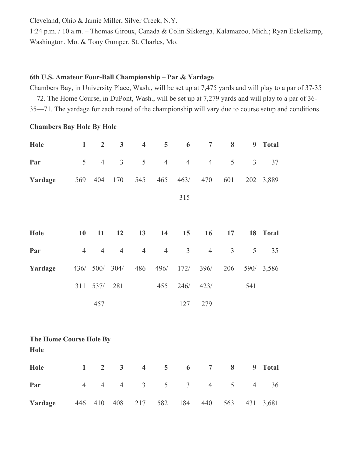Cleveland, Ohio & Jamie Miller, Silver Creek, N.Y.

1:24 p.m. / 10 a.m. – Thomas Giroux, Canada & Colin Sikkenga, Kalamazoo, Mich.; Ryan Eckelkamp, Washington, Mo. & Tony Gumper, St. Charles, Mo.

## **6th U.S. Amateur Four-Ball Championship – Par & Yardage**

Chambers Bay, in University Place, Wash., will be set up at 7,475 yards and will play to a par of 37-35 —72. The Home Course, in DuPont, Wash., will be set up at 7,279 yards and will play to a par of 36- 35—71. The yardage for each round of the championship will vary due to course setup and conditions.

### **Chambers Bay Hole By Hole**

| Hole                            | $\mathbf{1}$   | $\boldsymbol{2}$ | $\mathbf{3}$            | $\overline{\mathbf{4}}$ | 5              | 6              | $\overline{7}$ | 8   | $\boldsymbol{9}$ | <b>Total</b> |  |
|---------------------------------|----------------|------------------|-------------------------|-------------------------|----------------|----------------|----------------|-----|------------------|--------------|--|
| Par                             | 5              | $\overline{4}$   | $\mathfrak{Z}$          | $\mathfrak s$           | $\overline{4}$ | $\overline{4}$ | $\overline{4}$ | 5   | $\mathfrak{Z}$   | 37           |  |
| Yardage                         | 569            | 404              | 170                     | 545                     | 465            | 463/           | 470            | 601 | 202              | 3,889        |  |
|                                 |                |                  |                         |                         |                | 315            |                |     |                  |              |  |
|                                 |                |                  |                         |                         |                |                |                |     |                  |              |  |
| Hole                            | 10             | 11               | 12                      | 13                      | 14             | 15             | 16             | 17  | 18               | <b>Total</b> |  |
| Par                             | $\overline{4}$ | $\overline{4}$   | $\overline{4}$          | $\overline{4}$          | $\overline{4}$ | $\overline{3}$ | $\overline{4}$ | 3   | 5                | 35           |  |
| Yardage                         |                | 436/ 500/        | $304/$                  | 486                     | 496/           | 172/           | 396/           | 206 |                  | 590/ 3,586   |  |
|                                 | 311            | 537/             | 281                     |                         | 455            | 246/           | 423/           |     | 541              |              |  |
|                                 |                | 457              |                         |                         |                | 127            | 279            |     |                  |              |  |
|                                 |                |                  |                         |                         |                |                |                |     |                  |              |  |
| The Home Course Hole By<br>Hole |                |                  |                         |                         |                |                |                |     |                  |              |  |
| Hole                            | $\mathbf{1}$   | $\overline{2}$   | $\overline{\mathbf{3}}$ | $\overline{\mathbf{4}}$ | 5              | 6              | $\overline{7}$ | 8   | $\boldsymbol{9}$ | <b>Total</b> |  |
| Par                             | $\overline{4}$ | $\overline{4}$   | $\overline{4}$          | 3                       | 5              | $\overline{3}$ | $\overline{4}$ | 5   | $\overline{4}$   | 36           |  |
| Yardage                         | 446            | 410              | 408                     | 217                     | 582            | 184            | 440            | 563 | 431              | 3,681        |  |